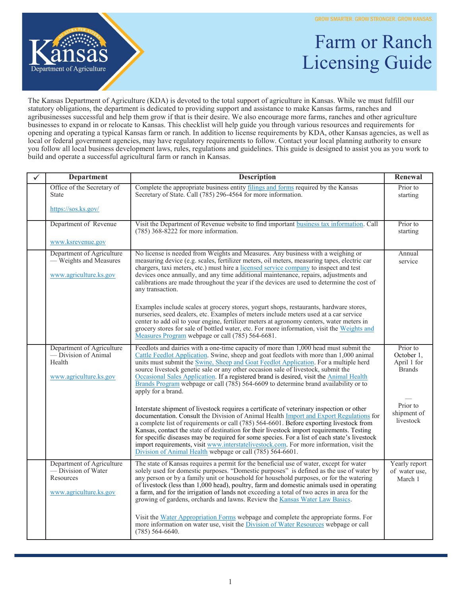

## Farm or Ranch Licensing Guide

The Kansas Department of Agriculture (KDA) is devoted to the total support of agriculture in Kansas. While we must fulfill our statutory obligations, the department is dedicated to providing support and assistance to make Kansas farms, ranches and agribusinesses successful and help them grow if that is their desire. We also encourage more farms, ranches and other agriculture businesses to expand in or relocate to Kansas. This checklist will help guide you through various resources and requirements for opening and operating a typical Kansas farm or ranch. In addition to license requirements by KDA, other Kansas agencies, as well as local or federal government agencies, may have regulatory requirements to follow. Contact your local planning authority to ensure you follow all local business development laws, rules, regulations and guidelines. This guide is designed to assist you as you work to build and operate a successful agricultural farm or ranch in Kansas.

| <b>Department</b>                                                                       | <b>Description</b>                                                                                                                                                                                                                                                                                                                                                                                                                                                                                                                                                                                                                  | Renewal                                                |
|-----------------------------------------------------------------------------------------|-------------------------------------------------------------------------------------------------------------------------------------------------------------------------------------------------------------------------------------------------------------------------------------------------------------------------------------------------------------------------------------------------------------------------------------------------------------------------------------------------------------------------------------------------------------------------------------------------------------------------------------|--------------------------------------------------------|
| Office of the Secretary of<br>State                                                     | Complete the appropriate business entity filings and forms required by the Kansas<br>Secretary of State. Call (785) 296-4564 for more information.                                                                                                                                                                                                                                                                                                                                                                                                                                                                                  | Prior to<br>starting                                   |
| https://sos.ks.gov/                                                                     |                                                                                                                                                                                                                                                                                                                                                                                                                                                                                                                                                                                                                                     |                                                        |
| Department of Revenue                                                                   | Visit the Department of Revenue website to find important business tax information. Call<br>$(785)$ 368-8222 for more information.                                                                                                                                                                                                                                                                                                                                                                                                                                                                                                  | Prior to<br>starting                                   |
| www.ksrevenue.gov                                                                       |                                                                                                                                                                                                                                                                                                                                                                                                                                                                                                                                                                                                                                     |                                                        |
| Department of Agriculture<br>- Weights and Measures<br>www.agriculture.ks.gov           | No license is needed from Weights and Measures. Any business with a weighing or<br>measuring device (e.g. scales, fertilizer meters, oil meters, measuring tapes, electric car<br>chargers, taxi meters, etc.) must hire a licensed service company to inspect and test<br>devices once annually, and any time additional maintenance, repairs, adjustments and<br>calibrations are made throughout the year if the devices are used to determine the cost of<br>any transaction.                                                                                                                                                   | Annual<br>service                                      |
|                                                                                         | Examples include scales at grocery stores, yogurt shops, restaurants, hardware stores,<br>nurseries, seed dealers, etc. Examples of meters include meters used at a car service<br>center to add oil to your engine, fertilizer meters at agronomy centers, water meters in<br>grocery stores for sale of bottled water, etc. For more information, visit the Weights and<br>Measures Program webpage or call (785) 564-6681.                                                                                                                                                                                                       |                                                        |
| Department of Agriculture<br>— Division of Animal<br>Health<br>www.agriculture.ks.gov   | Feedlots and dairies with a one-time capacity of more than 1,000 head must submit the<br>Cattle Feedlot Application. Swine, sheep and goat feedlots with more than 1,000 animal<br>units must submit the Swine, Sheep and Goat Feedlot Application. For a multiple herd<br>source livestock genetic sale or any other occasion sale of livestock, submit the<br>Occasional Sales Application. If a registered brand is desired, visit the Animal Health<br>Brands Program webpage or call (785) 564-6609 to determine brand availability or to<br>apply for a brand.                                                                | Prior to<br>October 1,<br>April 1 for<br><b>Brands</b> |
|                                                                                         | Interstate shipment of livestock requires a certificate of veterinary inspection or other<br>documentation. Consult the Division of Animal Health Import and Export Regulations for<br>a complete list of requirements or call (785) 564-6601. Before exporting livestock from<br>Kansas, contact the state of destination for their livestock import requirements. Testing<br>for specific diseases may be required for some species. For a list of each state's livestock<br>import requirements, visit www.interstatelivestock.com. For more information, visit the<br>Division of Animal Health webpage or call (785) 564-6601. | Prior to<br>shipment of<br>livestock                   |
| Department of Agriculture<br>- Division of Water<br>Resources<br>www.agriculture.ks.gov | The state of Kansas requires a permit for the beneficial use of water, except for water<br>solely used for domestic purposes. "Domestic purposes" is defined as the use of water by<br>any person or by a family unit or household for household purposes, or for the watering<br>of livestock (less than 1,000 head), poultry, farm and domestic animals used in operating<br>a farm, and for the irrigation of lands not exceeding a total of two acres in area for the<br>growing of gardens, orchards and lawns. Review the Kansas Water Law Basics.                                                                            | Yearly report<br>of water use,<br>March 1              |
|                                                                                         | Visit the Water Appropriation Forms webpage and complete the appropriate forms. For<br>more information on water use, visit the <i>Division of Water Resources</i> webpage or call<br>$(785)$ 564-6640.                                                                                                                                                                                                                                                                                                                                                                                                                             |                                                        |